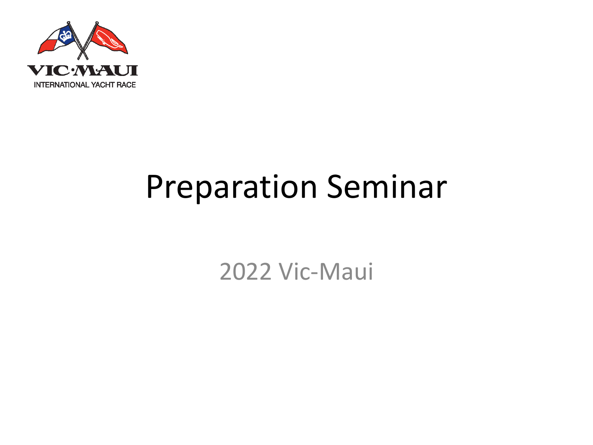

#### Preparation Seminar

2022 Vic-Maui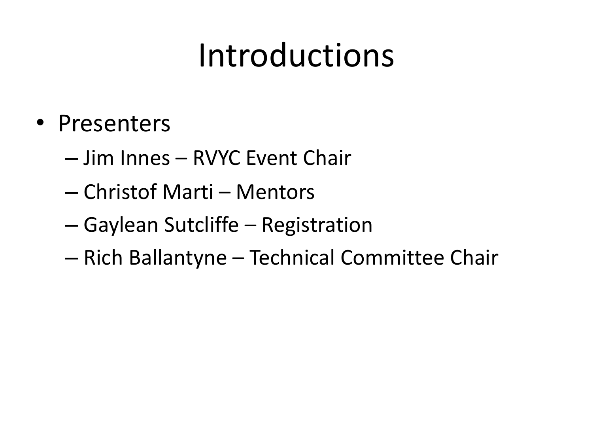### Introductions

- Presenters
	- Jim Innes RVYC Event Chair
	- Christof Marti Mentors
	- Gaylean Sutcliffe Registration
	- Rich Ballantyne Technical Committee Chair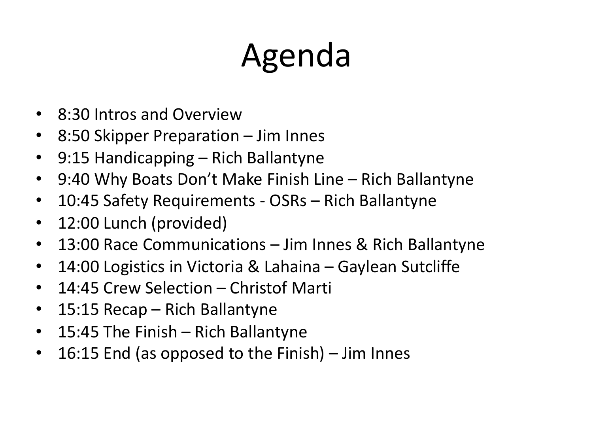# Agenda

- 8:30 Intros and Overview
- 8:50 Skipper Preparation Jim Innes
- 9:15 Handicapping Rich Ballantyne
- 9:40 Why Boats Don't Make Finish Line Rich Ballantyne
- 10:45 Safety Requirements OSRs Rich Ballantyne
- 12:00 Lunch (provided)
- 13:00 Race Communications Jim Innes & Rich Ballantyne
- 14:00 Logistics in Victoria & Lahaina Gaylean Sutcliffe
- 14:45 Crew Selection Christof Marti
- 15:15 Recap Rich Ballantyne
- 15:45 The Finish Rich Ballantyne
- 16:15 End (as opposed to the Finish) Jim Innes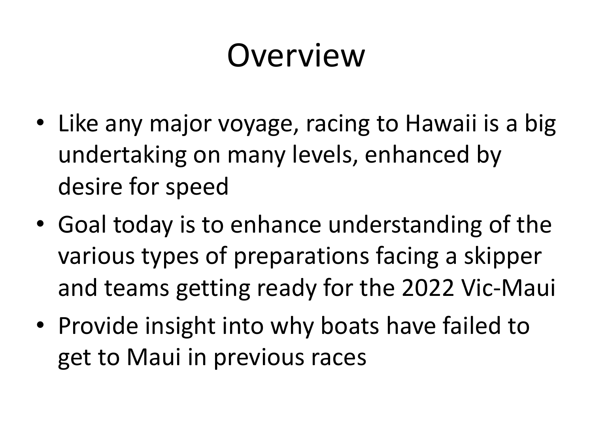### Overview

- Like any major voyage, racing to Hawaii is a big undertaking on many levels, enhanced by desire for speed
- Goal today is to enhance understanding of the various types of preparations facing a skipper and teams getting ready for the 2022 Vic-Maui
- Provide insight into why boats have failed to get to Maui in previous races